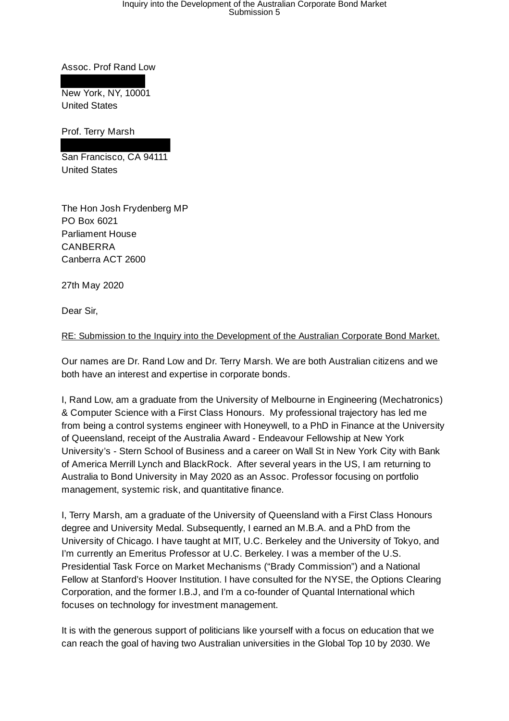# Inquiry into the Development of the Australian Corporate Bond Market Submission 5

Assoc. Prof Rand Low

New York, NY, 10001 United States

Prof. Terry Marsh

San Francisco, CA 94111 United States

The Hon Josh Frydenberg MP PO Box 6021 Parliament House CANBERRA Canberra ACT 2600

27th May 2020

Dear Sir,

RE: Submission to the Inquiry into the Development of the Australian Corporate Bond Market.

Our names are Dr. Rand Low and Dr. Terry Marsh. We are both Australian citizens and we both have an interest and expertise in corporate bonds.

I, Rand Low, am a graduate from the University of Melbourne in Engineering (Mechatronics) & Computer Science with a First Class Honours. My professional trajectory has led me from being a control systems engineer with Honeywell, to a PhD in Finance at the University of Queensland, receipt of the Australia Award - Endeavour Fellowship at New York University's - Stern School of Business and a career on Wall St in New York City with Bank of America Merrill Lynch and BlackRock. After several years in the US, I am returning to Australia to Bond University in May 2020 as an Assoc. Professor focusing on portfolio management, systemic risk, and quantitative finance.

I, Terry Marsh, am a graduate of the University of Queensland with a First Class Honours degree and University Medal. Subsequently, I earned an M.B.A. and a PhD from the University of Chicago. I have taught at MIT, U.C. Berkeley and the University of Tokyo, and I'm currently an Emeritus Professor at U.C. Berkeley. I was a member of the U.S. Presidential Task Force on Market Mechanisms ("Brady Commission") and a National Fellow at Stanford's Hoover Institution. I have consulted for the NYSE, the Options Clearing Corporation, and the former I.B.J, and I'm a co-founder of Quantal International which focuses on technology for investment management.

It is with the generous support of politicians like yourself with a focus on education that we can reach the goal of having two Australian universities in the Global Top 10 by 2030. We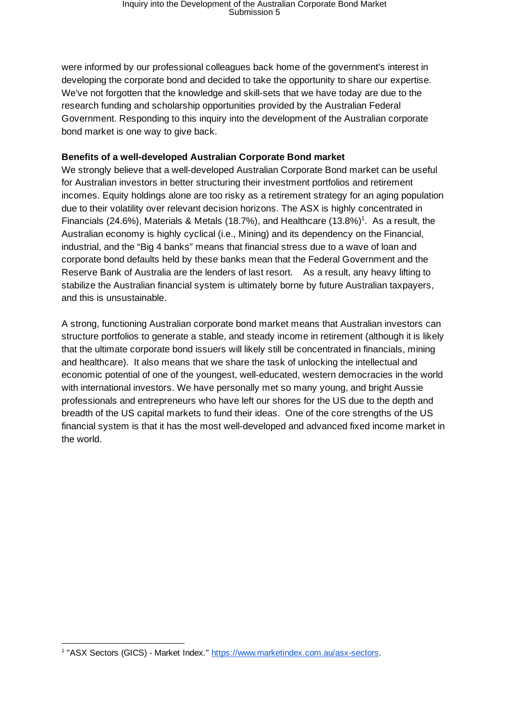were informed by our professional colleagues back home of the government's interest in developing the corporate bond and decided to take the opportunity to share our expertise. We've not forgotten that the knowledge and skill-sets that we have today are due to the research funding and scholarship opportunities provided by the Australian Federal Government. Responding to this inquiry into the development of the Australian corporate bond market is one way to give back.

## **Benefits of a well-developed Australian Corporate Bond market**

We strongly believe that a well-developed Australian Corporate Bond market can be useful for Australian investors in better structuring their investment portfolios and retirement incomes. Equity holdings alone are too risky as a retirement strategy for an aging population due to their volatility over relevant decision horizons. The ASX is highly concentrated in Financials (24.6%), Materials & Metals (18.7%), and Healthcare (13.8%)<sup>1</sup>. As a result, the Australian economy is highly cyclical (i.e., Mining) and its dependency on the Financial, industrial, and the "Big 4 banks" means that financial stress due to a wave of loan and corporate bond defaults held by these banks mean that the Federal Government and the Reserve Bank of Australia are the lenders of last resort. As a result, any heavy lifting to stabilize the Australian financial system is ultimately borne by future Australian taxpayers, and this is unsustainable.

A strong, functioning Australian corporate bond market means that Australian investors can structure portfolios to generate a stable, and steady income in retirement (although it is likely that the ultimate corporate bond issuers will likely still be concentrated in financials, mining and healthcare). It also means that we share the task of unlocking the intellectual and economic potential of one of the youngest, well-educated, western democracies in the world with international investors. We have personally met so many young, and bright Aussie professionals and entrepreneurs who have left our shores for the US due to the depth and breadth of the US capital markets to fund their ideas. One of the core strengths of the US financial system is that it has the most well-developed and advanced fixed income market in the world.

<sup>&</sup>lt;sup>1</sup> "ASX Sectors (GICS) - Market Index." https://www.marketindex.com.au/asx-sectors.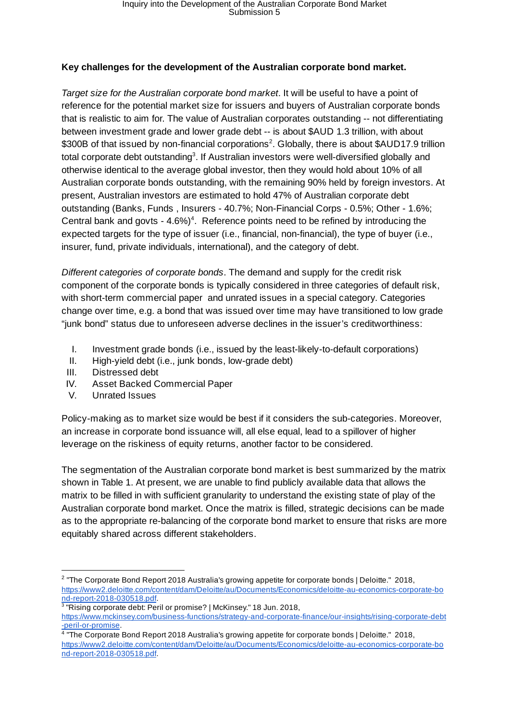## **Key challenges for the development of the Australian corporate bond market.**

*Target size for the Australian corporate bond market* . It will be useful to have a point of reference for the potential market size for issuers and buyers of Australian corporate bonds that is realistic to aim for. The value of Australian corporates outstanding -- not differentiating between investment grade and lower grade debt -- is about \$AUD 1.3 trillion, with about  $$300B$  of that issued by non-financial corporations<sup>2</sup>. Globally, there is about  $$AUD17.9$  trillion total corporate debt outstanding<sup>3</sup>. If Australian investors were well-diversified globally and otherwise identical to the average global investor, then they would hold about 10% of all Australian corporate bonds outstanding, with the remaining 90% held by foreign investors. At present, Australian investors are estimated to hold 47% of Australian corporate debt outstanding (Banks, Funds , Insurers - 40.7%; Non-Financial Corps - 0.5%; Other - 1.6%; Central bank and govts  $-4.6\%/1$ . Reference points need to be refined by introducing the expected targets for the type of issuer (i.e., financial, non-financial), the type of buyer (i.e., insurer, fund, private individuals, international), and the category of debt.

*Different categories of corporate bonds* . The demand and supply for the credit risk component of the corporate bonds is typically considered in three categories of default risk, with short-term commercial paper and unrated issues in a special category. Categories change over time, e.g. a bond that was issued over time may have transitioned to low grade "junk bond" status due to unforeseen adverse declines in the issuer's creditworthiness:

- I. Investment grade bonds (i.e., issued by the least-likely-to-default corporations)
- II. High-yield debt (i.e., junk bonds, low-grade debt)
- III. Distressed debt
- IV. Asset Backed Commercial Paper
- V. Unrated Issues

Policy-making as to market size would be best if it considers the sub-categories. Moreover, an increase in corporate bond issuance will, all else equal, lead to a spillover of higher leverage on the riskiness of equity returns, another factor to be considered.

The segmentation of the Australian corporate bond market is best summarized by the matrix shown in Table 1. At present, we are unable to find publicly available data that allows the matrix to be filled in with sufficient granularity to understand the existing state of play of the Australian corporate bond market. Once the matrix is filled, strategic decisions can be made as to the appropriate re-balancing of the corporate bond market to ensure that risks are more equitably shared across different stakeholders.

<sup>&</sup>lt;sup>2</sup> "The Corporate Bond Report 2018 Australia's growing appetite for corporate bonds | Deloitte." 2018, https://www2.deloitte.com/content/dam/Deloitte/au/Documents/Economics/deloitte-au-economics-corporate-bo nd-report-2018-030518.pdf .

<sup>&</sup>lt;sup>3</sup> "Rising corporate debt: Peril or promise? | McKinsey." 18 Jun. 2018, https://www.mckinsey.com/business-functions/strategy-and-corporate-finance/our-insights/rising-corporate-debt

<sup>&</sup>lt;u>-peril-or-promise</u>.<br><sup>4</sup> "The Corporate Bond Report 2018 Australia's growing appetite for corporate bonds | Deloitte." 2018, https://www2.deloitte.com/content/dam/Deloitte/au/Documents/Economics/deloitte-au-economics-corporate-bo nd-report-2018-030518.pdf .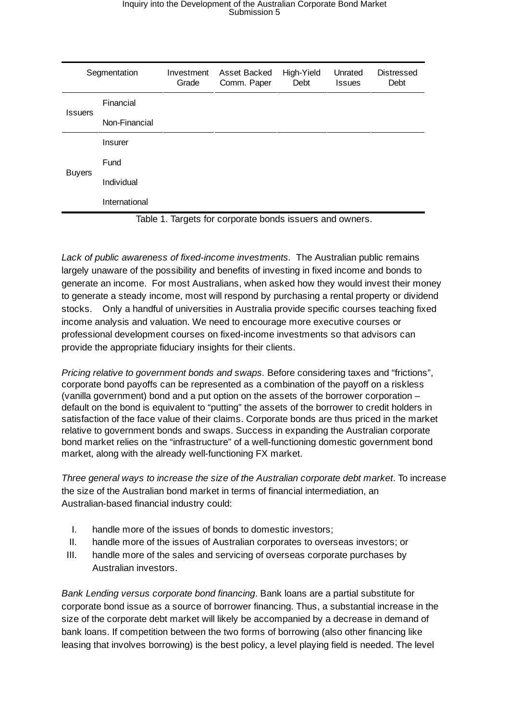| Segmentation  | Investment<br>Grade | Asset Backed<br>Comm. Paper | High-Yield<br>Debt | Unrated<br><b>Issues</b> | <b>Distressed</b><br>Debt |
|---------------|---------------------|-----------------------------|--------------------|--------------------------|---------------------------|
| Financial     |                     |                             |                    |                          |                           |
| Non-Financial |                     |                             |                    |                          |                           |
| Insurer       |                     |                             |                    |                          |                           |
| Fund          |                     |                             |                    |                          |                           |
| Individual    |                     |                             |                    |                          |                           |
| International |                     |                             |                    |                          |                           |
|               | _ _                 |                             |                    | .                        |                           |

Table 1. Targets for corporate bonds issuers and owners.

*Lack of public awareness of fixed-income investments.* The Australian public remains largely unaware of the possibility and benefits of investing in fixed income and bonds to generate an income. For most Australians, when asked how they would invest their money to generate a steady income, most will respond by purchasing a rental property or dividend stocks. Only a handful of universities in Australia provide specific courses teaching fixed income analysis and valuation. We need to encourage more executive courses or professional development courses on fixed-income investments so that advisors can provide the appropriate fiduciary insights for their clients.

*Pricing relative to government bonds and swaps.* Before considering taxes and "frictions", corporate bond payoffs can be represented as a combination of the payoff on a riskless (vanilla government) bond and a put option on the assets of the borrower corporation – default on the bond is equivalent to "putting" the assets of the borrower to credit holders in satisfaction of the face value of their claims. Corporate bonds are thus priced in the market relative to government bonds and swaps. Success in expanding the Australian corporate bond market relies on the "infrastructure" of a well-functioning domestic government bond market, along with the already well-functioning FX market.

*Three general ways to increase the size of the Australian corporate debt market* . To increase the size of the Australian bond market in terms of financial intermediation, an Australian-based financial industry could:

- I. handle more of the issues of bonds to domestic investors;
- II. handle more of the issues of Australian corporates to overseas investors; or
- III. handle more of the sales and servicing of overseas corporate purchases by Australian investors.

*Bank Lending versus corporate bond financing* . Bank loans are a partial substitute for corporate bond issue as a source of borrower financing. Thus, a substantial increase in the size of the corporate debt market will likely be accompanied by a decrease in demand of bank loans. If competition between the two forms of borrowing (also other financing like leasing that involves borrowing) is the best policy, a level playing field is needed. The level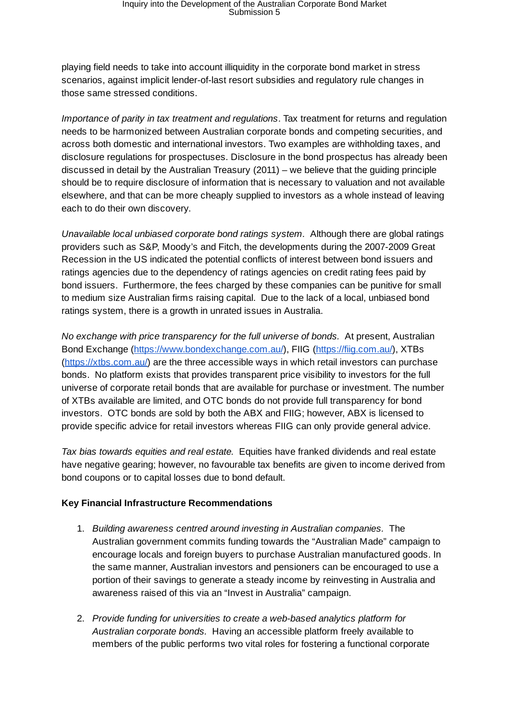playing field needs to take into account illiquidity in the corporate bond market in stress scenarios, against implicit lender-of-last resort subsidies and regulatory rule changes in those same stressed conditions.

*Importance of parity in tax treatment and regulations* . Tax treatment for returns and regulation needs to be harmonized between Australian corporate bonds and competing securities, and across both domestic and international investors. Two examples are withholding taxes, and disclosure regulations for prospectuses. Disclosure in the bond prospectus has already been discussed in detail by the Australian Treasury (2011) – we believe that the guiding principle should be to require disclosure of information that is necessary to valuation and not available elsewhere, and that can be more cheaply supplied to investors as a whole instead of leaving each to do their own discovery.

*Unavailable local unbiased corporate bond ratings system.* Although there are global ratings providers such as S&P, Moody's and Fitch, the developments during the 2007-2009 Great Recession in the US indicated the potential conflicts of interest between bond issuers and ratings agencies due to the dependency of ratings agencies on credit rating fees paid by bond issuers. Furthermore, the fees charged by these companies can be punitive for small to medium size Australian firms raising capital. Due to the lack of a local, unbiased bond ratings system, there is a growth in unrated issues in Australia.

*No exchange with price transparency for the full universe of bonds.* At present, Australian Bond Exchange (https://www.bondexchange.com.au/), FIIG (https://fiig.com.au/), XTBs (https://xtbs.com.au/) are the three accessible ways in which retail investors can purchase bonds. No platform exists that provides transparent price visibility to investors for the full universe of corporate retail bonds that are available for purchase or investment. The number of XTBs available are limited, and OTC bonds do not provide full transparency for bond investors. OTC bonds are sold by both the ABX and FIIG; however, ABX is licensed to provide specific advice for retail investors whereas FIIG can only provide general advice.

*Tax bias towards equities and real estate.* Equities have franked dividends and real estate have negative gearing; however, no favourable tax benefits are given to income derived from bond coupons or to capital losses due to bond default.

## **Key Financial Infrastructure Recommendations**

- 1. *Building awareness centred around investing in Australian companies.* The Australian government commits funding towards the "Australian Made" campaign to encourage locals and foreign buyers to purchase Australian manufactured goods. In the same manner, Australian investors and pensioners can be encouraged to use a portion of their savings to generate a steady income by reinvesting in Australia and awareness raised of this via an "Invest in Australia" campaign.
- 2. *Provide funding for universities to create a web-based analytics platform for Australian corporate bonds.* Having an accessible platform freely available to members of the public performs two vital roles for fostering a functional corporate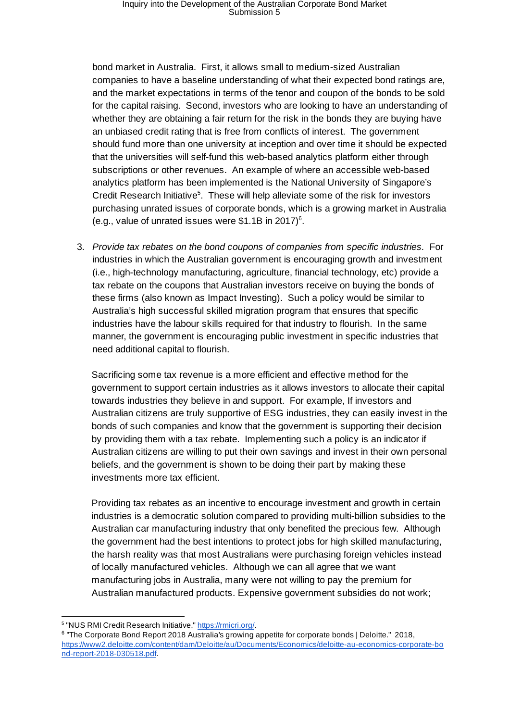bond market in Australia. First, it allows small to medium-sized Australian companies to have a baseline understanding of what their expected bond ratings are, and the market expectations in terms of the tenor and coupon of the bonds to be sold for the capital raising. Second, investors who are looking to have an understanding of whether they are obtaining a fair return for the risk in the bonds they are buying have an unbiased credit rating that is free from conflicts of interest. The government should fund more than one university at inception and over time it should be expected that the universities will self-fund this web-based analytics platform either through subscriptions or other revenues. An example of where an accessible web-based analytics platform has been implemented is the National University of Singapore's Credit Research Initiative<sup>5</sup>. These will help alleviate some of the risk for investors purchasing unrated issues of corporate bonds, which is a growing market in Australia (e.g., value of unrated issues were  $$1.1B$  in 2017)<sup>6</sup>.

3. *Provide tax rebates on the bond coupons of companies from specific industries.* For industries in which the Australian government is encouraging growth and investment (i.e., high-technology manufacturing, agriculture, financial technology, etc) provide a tax rebate on the coupons that Australian investors receive on buying the bonds of these firms (also known as Impact Investing). Such a policy would be similar to Australia's high successful skilled migration program that ensures that specific industries have the labour skills required for that industry to flourish. In the same manner, the government is encouraging public investment in specific industries that need additional capital to flourish.

Sacrificing some tax revenue is a more efficient and effective method for the government to support certain industries as it allows investors to allocate their capital towards industries they believe in and support. For example, If investors and Australian citizens are truly supportive of ESG industries, they can easily invest in the bonds of such companies and know that the government is supporting their decision by providing them with a tax rebate. Implementing such a policy is an indicator if Australian citizens are willing to put their own savings and invest in their own personal beliefs, and the government is shown to be doing their part by making these investments more tax efficient.

Providing tax rebates as an incentive to encourage investment and growth in certain industries is a democratic solution compared to providing multi-billion subsidies to the Australian car manufacturing industry that only benefited the precious few. Although the government had the best intentions to protect jobs for high skilled manufacturing, the harsh reality was that most Australians were purchasing foreign vehicles instead of locally manufactured vehicles. Although we can all agree that we want manufacturing jobs in Australia, many were not willing to pay the premium for Australian manufactured products. Expensive government subsidies do not work;

<sup>&</sup>lt;sup>5</sup> "NUS RMI Credit Research Initiative." https://rmicri.org/.

<sup>&</sup>lt;sup>6</sup> "The Corporate Bond Report 2018 Australia's growing appetite for corporate bonds | Deloitte." 2018, https://www2.deloitte.com/content/dam/Deloitte/au/Documents/Economics/deloitte-au-economics-corporate-bo nd-report-2018-030518.pdf .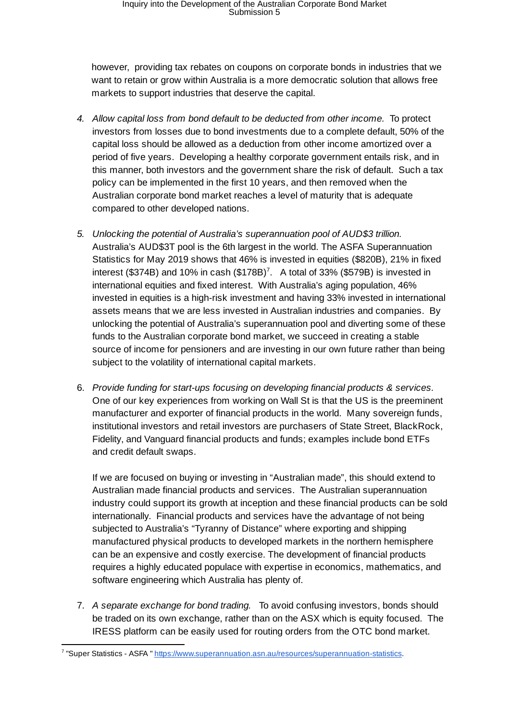however, providing tax rebates on coupons on corporate bonds in industries that we want to retain or grow within Australia is a more democratic solution that allows free markets to support industries that deserve the capital.

- *4. Allow capital loss from bond default to be deducted from other income.* To protect investors from losses due to bond investments due to a complete default, 50% of the capital loss should be allowed as a deduction from other income amortized over a period of five years. Developing a healthy corporate government entails risk, and in this manner, both investors and the government share the risk of default. Such a tax policy can be implemented in the first 10 years, and then removed when the Australian corporate bond market reaches a level of maturity that is adequate compared to other developed nations.
- *5. Unlocking the potential of Australia's superannuation pool of AUD\$3 trillion.*  Australia's AUD\$3T pool is the 6th largest in the world. The ASFA Superannuation Statistics for May 2019 shows that 46% is invested in equities (\$820B), 21% in fixed interest (\$374B) and 10% in cash  $(\$178B)^7$ . A total of 33% (\$579B) is invested in international equities and fixed interest. With Australia's aging population, 46% invested in equities is a high-risk investment and having 33% invested in international assets means that we are less invested in Australian industries and companies. By unlocking the potential of Australia's superannuation pool and diverting some of these funds to the Australian corporate bond market, we succeed in creating a stable source of income for pensioners and are investing in our own future rather than being subject to the volatility of international capital markets.
- 6. *Provide funding for start-ups focusing on developing financial products & services.*  One of our key experiences from working on Wall St is that the US is the preeminent manufacturer and exporter of financial products in the world. Many sovereign funds, institutional investors and retail investors are purchasers of State Street, BlackRock, Fidelity, and Vanguard financial products and funds; examples include bond ETFs and credit default swaps.

If we are focused on buying or investing in "Australian made", this should extend to Australian made financial products and services. The Australian superannuation industry could support its growth at inception and these financial products can be sold internationally. Financial products and services have the advantage of not being subjected to Australia's "Tyranny of Distance" where exporting and shipping manufactured physical products to developed markets in the northern hemisphere can be an expensive and costly exercise. The development of financial products requires a highly educated populace with expertise in economics, mathematics, and software engineering which Australia has plenty of.

7. *A separate exchange for bond trading.* To avoid confusing investors, bonds should be traded on its own exchange, rather than on the ASX which is equity focused. The IRESS platform can be easily used for routing orders from the OTC bond market.

<sup>&</sup>lt;sup>7</sup> "Super Statistics - ASFA " https://www.superannuation.asn.au/resources/superannuation-statistics.